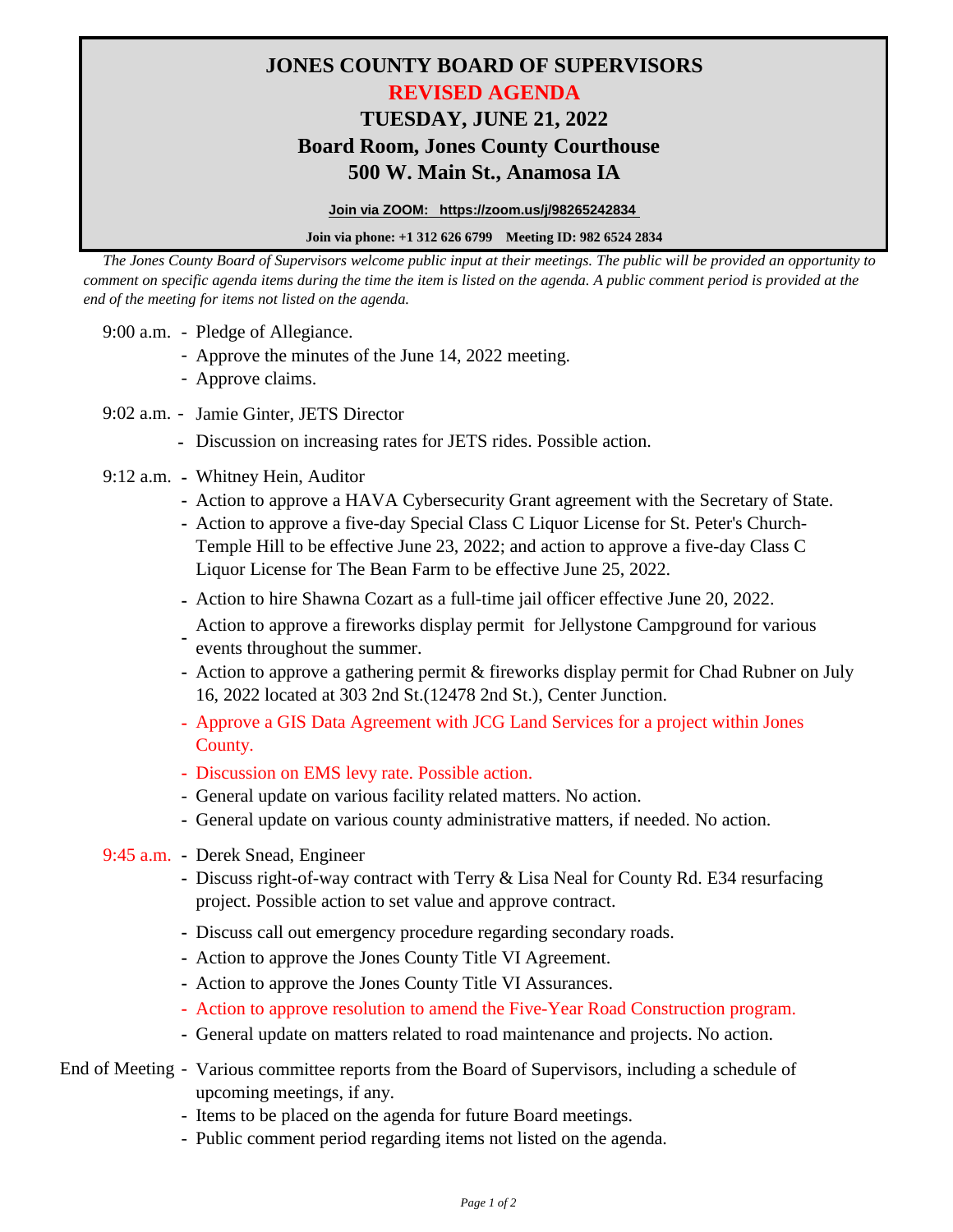## **JONES COUNTY BOARD OF SUPERVISORS REVISED AGENDA TUESDAY, JUNE 21, 2022 500 W. Main St., Anamosa IA Board Room, Jones County Courthouse**

**Join via ZOOM: https://zoom.us/j/98265242834** 

**Join via phone: +1 312 626 6799 Meeting ID: 982 6524 2834**

 *The Jones County Board of Supervisors welcome public input at their meetings. The public will be provided an opportunity to comment on specific agenda items during the time the item is listed on the agenda. A public comment period is provided at the end of the meeting for items not listed on the agenda.*

- 9:00 a.m. Pledge of Allegiance.
	- Approve the minutes of the June 14, 2022 meeting.
	- Approve claims.
- 9:02 a.m. Jamie Ginter, JETS Director
	- **-** Discussion on increasing rates for JETS rides. Possible action.
- 9:12 a.m. **-** Whitney Hein, Auditor
	- **-** Action to approve a HAVA Cybersecurity Grant agreement with the Secretary of State.
	- **-** Action to approve a five-day Special Class C Liquor License for St. Peter's Church-Temple Hill to be effective June 23, 2022; and action to approve a five-day Class C Liquor License for The Bean Farm to be effective June 25, 2022.
	- **-** Action to hire Shawna Cozart as a full-time jail officer effective June 20, 2022.
	- **-** Action to approve a fireworks display permit for Jellystone Campground for various events throughout the summer.
	- **-** Action to approve a gathering permit & fireworks display permit for Chad Rubner on July 16, 2022 located at 303 2nd St.(12478 2nd St.), Center Junction.
	- **-** Approve a GIS Data Agreement with JCG Land Services for a project within Jones County.
	- **-** Discussion on EMS levy rate. Possible action.
	- General update on various facility related matters. No action.
	- **-** General update on various county administrative matters, if needed. No action.
- 9:45 a.m. **-** Derek Snead, Engineer
	- **-** Discuss right-of-way contract with Terry & Lisa Neal for County Rd. E34 resurfacing project. Possible action to set value and approve contract.
	- **-** Discuss call out emergency procedure regarding secondary roads.
	- **-** Action to approve the Jones County Title VI Agreement.
	- **-** Action to approve the Jones County Title VI Assurances.
	- **-** Action to approve resolution to amend the Five-Year Road Construction program.
	- **-** General update on matters related to road maintenance and projects. No action.
- End of Meeting Various committee reports from the Board of Supervisors, including a schedule of upcoming meetings, if any.
	- Items to be placed on the agenda for future Board meetings.
	- Public comment period regarding items not listed on the agenda.